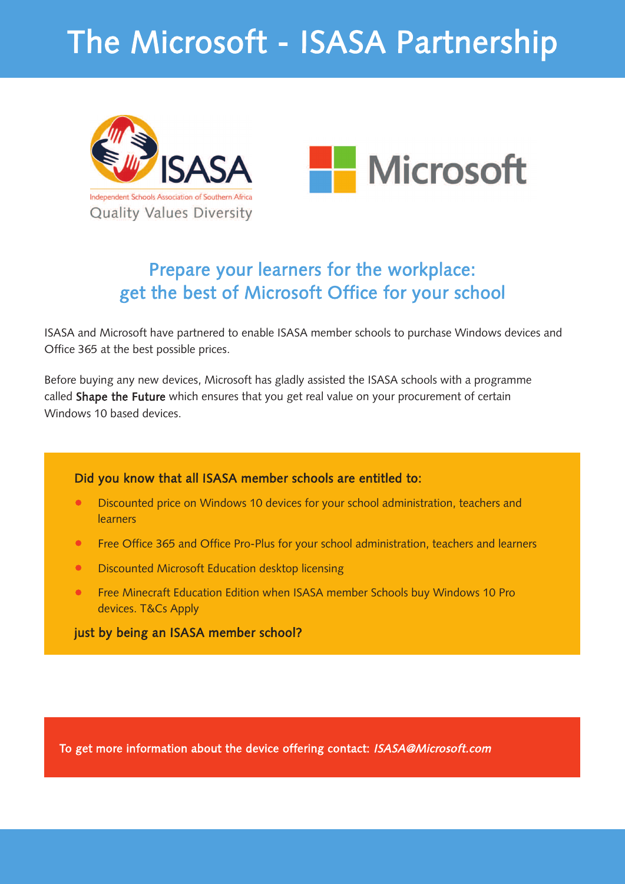# The Microsoft - ISASA Partnership





## Prepare your learners for the workplace: get the best of Microsoft Office for your school

ISASA and Microsoft have partnered to enable ISASA member schools to purchase Windows devices and Office 365 at the best possible prices.

Before buying any new devices, Microsoft has gladly assisted the ISASA schools with a programme called Shape the Future which ensures that you get real value on your procurement of certain Windows 10 based devices.

#### Did you know that all ISASA member schools are entitled to:

- Discounted price on Windows 10 devices for your school administration, teachers and **learners**
- Free Office 365 and Office Pro-Plus for your school administration, teachers and learners
- Discounted Microsoft Education desktop licensing
- Free Minecraft Education Edition when ISASA member Schools buy Windows 10 Pro devices. T&Cs Apply

#### just by being an ISASA member school?

To get more information about the device offering contact: <ISASA@Microsoft.com>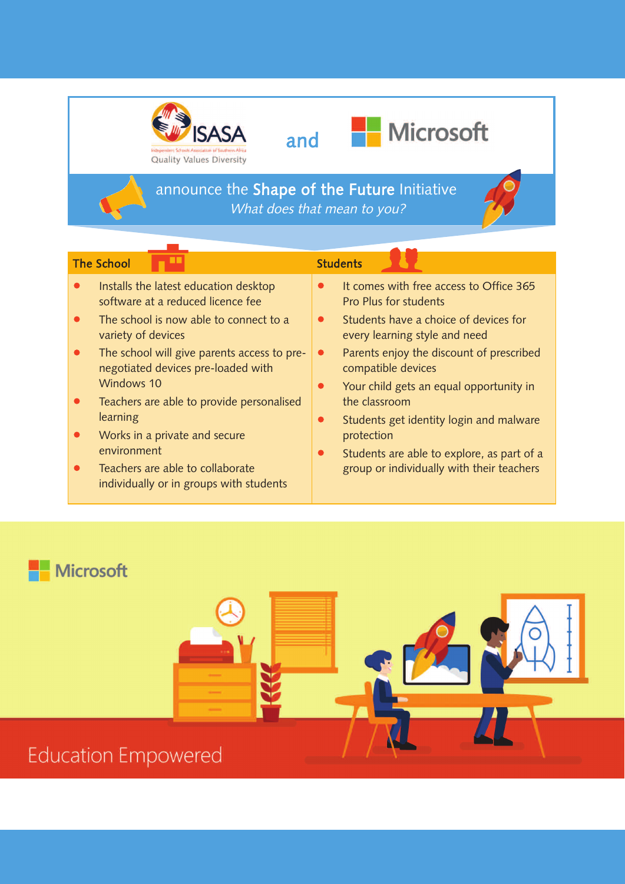





# **Microsoft**

announce the Shape of the Future Initiative What does that mean to you?

#### The School  $\Box$   $\Box$  Students

# **p grade and grade students**

- Installs the latest education desktop software at a reduced licence fee
- The school is now able to connect to a variety of devices
- The school will give parents access to prenegotiated devices pre-loaded with Windows 10
- Teachers are able to provide personalised learning
- Works in a private and secure environment
- Teachers are able to collaborate individually or in groups with students
- It comes with free access to Office 365 Pro Plus for students
- Students have a choice of devices for every learning style and need
- Parents enjoy the discount of prescribed compatible devices
- Your child gets an equal opportunity in the classroom
- Students get identity login and malware protection
- Students are able to explore, as part of a group or individually with their teachers

### **Microsoft**



## **Education Empowered**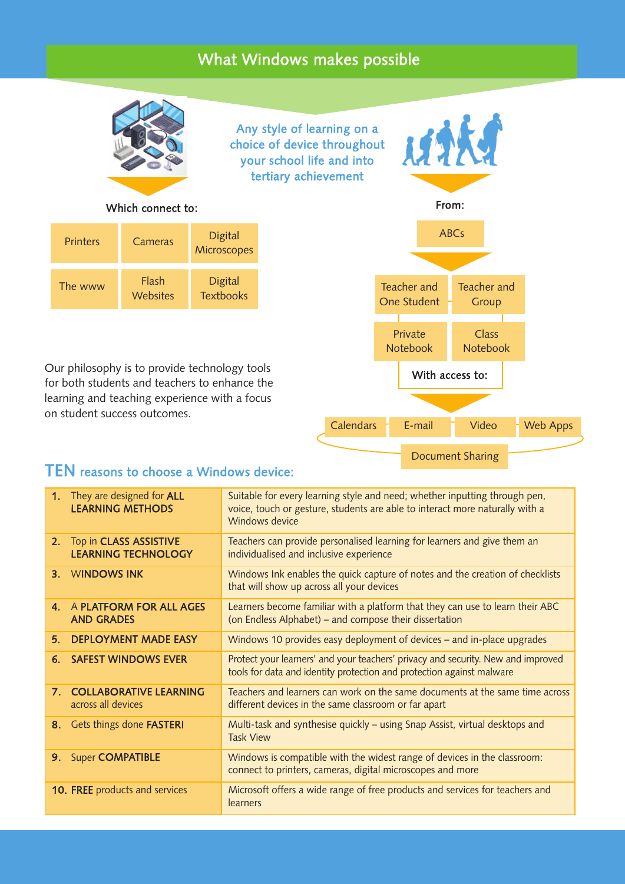#### What Windows makes possible



Any style of learning on a choice of device throughout your school life and into tertiary achievement

# MAKA From: ABCs

#### Which connect to:

| <b>Printers</b> | Cameras                  | <b>Digital</b><br>Microscopes      |
|-----------------|--------------------------|------------------------------------|
| The www         | Flash<br><b>Websites</b> | <b>Digital</b><br><b>Textbooks</b> |

Our philosophy is to provide technology tools for both students and teachers to enhance the learning and teaching experience with a focus on student success outcomes.



#### TEN reasons to choose a Windows device:

|                | 1. They are designed for ALL<br><b>LEARNING METHODS</b> | Suitable for every learning style and need; whether inputting through pen,<br>voice, touch or gesture, students are able to interact more naturally with a<br>Windows device |  |
|----------------|---------------------------------------------------------|------------------------------------------------------------------------------------------------------------------------------------------------------------------------------|--|
| 2.             | Top in CLASS ASSISTIVE<br><b>LEARNING TECHNOLOGY</b>    | Teachers can provide personalised learning for learners and give them an<br>individualised and inclusive experience                                                          |  |
|                | 3. WINDOWS INK                                          | Windows Ink enables the quick capture of notes and the creation of checklists<br>that will show up across all your devices                                                   |  |
| 4.             | A PLATFORM FOR ALL AGES<br><b>AND GRADES</b>            | Learners become familiar with a platform that they can use to learn their ABC<br>(on Endless Alphabet) – and compose their dissertation                                      |  |
| 5 <sub>1</sub> | <b>DEPLOYMENT MADE EASY</b>                             | Windows 10 provides easy deployment of devices – and in-place upgrades                                                                                                       |  |
| 6.             | <b>SAFEST WINDOWS EVER</b>                              | Protect your learners' and your teachers' privacy and security. New and improved<br>tools for data and identity protection and protection against malware                    |  |
|                | 7. COLLABORATIVE LEARNING<br>across all devices         | Teachers and learners can work on the same documents at the same time across<br>different devices in the same classroom or far apart                                         |  |
|                | 8. Gets things done FASTER!                             | Multi-task and synthesise quickly – using Snap Assist, virtual desktops and<br><b>Task View</b>                                                                              |  |
| 9.             | <b>Super COMPATIBLE</b>                                 | Windows is compatible with the widest range of devices in the classroom:<br>connect to printers, cameras, digital microscopes and more                                       |  |
|                | 10. FREE products and services                          | Microsoft offers a wide range of free products and services for teachers and<br>learners                                                                                     |  |